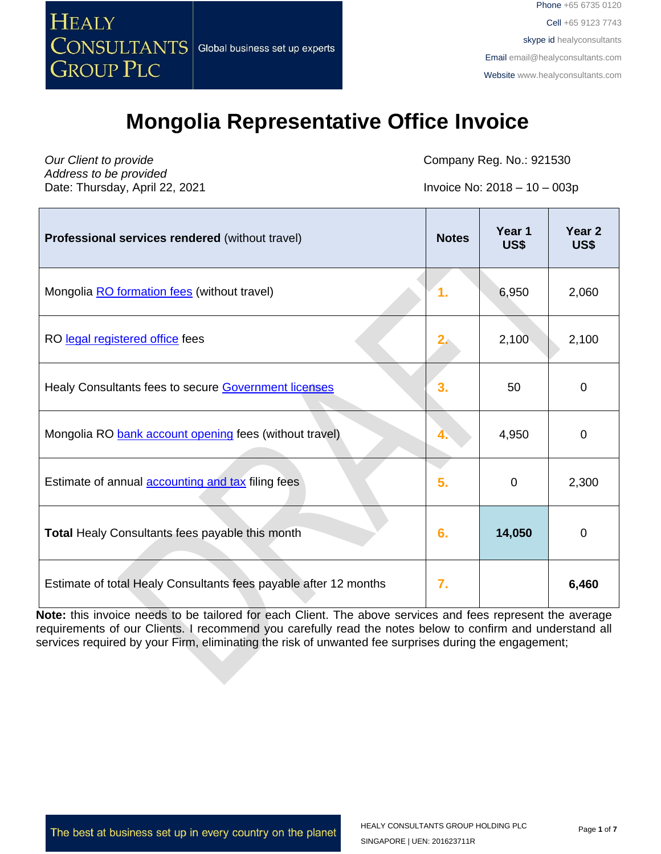

#### **Mongolia Representative Office Invoice**

*Our Client to provide Address to be provided* Date: Thursday, April 22, 2021 **Invoice No: 2018** – 10 – 003p

Company Reg. No.: 921530

| Professional services rendered (without travel)                  | <b>Notes</b> | Year 1<br>US\$ | Year <sub>2</sub><br>US\$ |
|------------------------------------------------------------------|--------------|----------------|---------------------------|
| Mongolia RO formation fees (without travel)                      | 1.           | 6,950          | 2,060                     |
| RO legal registered office fees                                  | $2\epsilon$  | 2,100          | 2,100                     |
| Healy Consultants fees to secure Government licenses             | 3.           | 50             | $\mathbf 0$               |
| Mongolia RO bank account opening fees (without travel)           |              | 4,950          | $\mathbf 0$               |
| Estimate of annual <b>accounting and tax</b> filing fees         | 5.           | $\mathbf 0$    | 2,300                     |
| <b>Total Healy Consultants fees payable this month</b>           | 6.           | 14,050         | $\mathbf 0$               |
| Estimate of total Healy Consultants fees payable after 12 months | 7.           |                | 6,460                     |

**Note:** this invoice needs to be tailored for each Client. The above services and fees represent the average requirements of our Clients. I recommend you carefully read the notes below to confirm and understand all services required by your Firm, eliminating the risk of unwanted fee surprises during the engagement;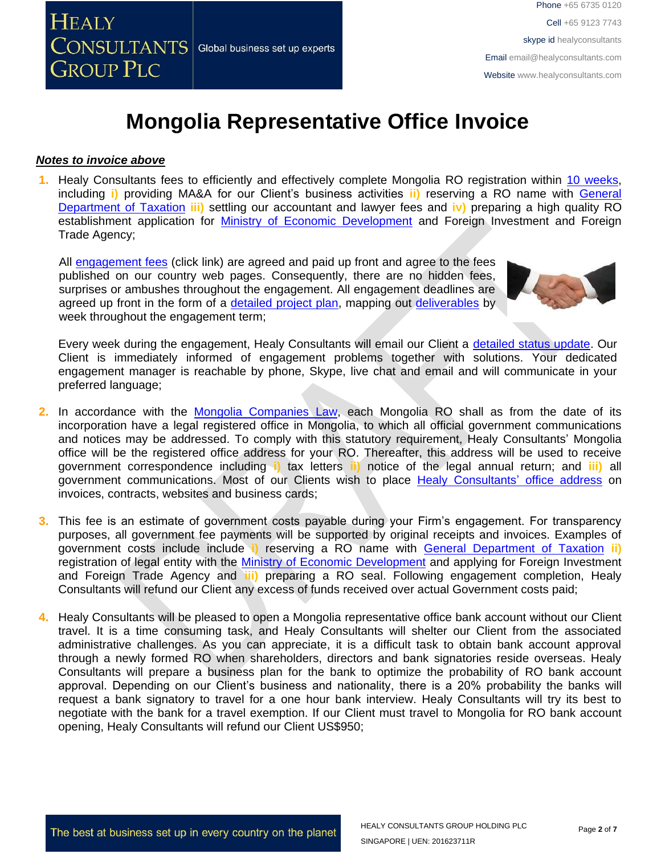

### **Mongolia Representative Office Invoice**

#### *Notes to invoice above*

**1.** Healy Consultants fees to efficiently and effectively complete Mongolia RO registration within 10 [weeks,](http://www.healyconsultants.com/mongolia-company-registration/fees-timelines/#timelines) including **i)** providing MA&A for our Client's business activities **ii)** reserving a RO name with [General](http://en.mta.mn/)  [Department of Taxation](http://en.mta.mn/) **iii)** settling our accountant and lawyer fees and **iv)** preparing a high quality RO establishment application for [Ministry of Economic Development](http://investmongolia.com/en/) and Foreign Investment and Foreign Trade Agency;

All [engagement](http://www.healyconsultants.com/company-registration-fees/) fees (click link) are agreed and paid up front and agree to the fees published on our country web pages. Consequently, there are no hidden fees, surprises or ambushes throughout the engagement. All engagement deadlines are agreed up front in the form of a [detailed project plan,](http://www.healyconsultants.com/index-important-links/example-project-plan/) mapping out [deliverables](http://www.healyconsultants.com/deliverables-to-our-clients/) by week throughout the engagement term;



Every week during the engagement, Healy Consultants will email our Client a [detailed status update.](http://www.healyconsultants.com/index-important-links/weekly-engagement-status-email/) Our Client is immediately informed of engagement problems together with solutions. Your dedicated engagement manager is reachable by phone, Skype, live chat and email and will communicate in your preferred language;

- **2.** In accordance with the Mongolia [Companies Law,](../../../../../../../../Downloads/MNG57599.pdf) each Mongolia RO shall as from the date of its incorporation have a legal registered office in Mongolia, to which all official government communications and notices may be addressed. To comply with this statutory requirement, Healy Consultants' Mongolia office will be the registered office address for your RO. Thereafter, this address will be used to receive government correspondence including **i)** tax letters **ii)** notice of the legal annual return; and **iii)** all government communications. Most of our Clients wish to place [Healy Consultants'](http://www.healyconsultants.com/corporate-outsourcing-services/company-secretary-and-legal-registered-office/) office address on invoices, contracts, websites and business cards;
- **3.** This fee is an estimate of government costs payable during your Firm's engagement. For transparency purposes, all government fee payments will be supported by original receipts and invoices. Examples of government costs include include **i)** reserving a RO name with [General Department of Taxation](http://en.mta.mn/) **ii)** registration of legal entity with the [Ministry of Economic Development](http://investmongolia.com/en/) and applying for Foreign Investment and Foreign Trade Agency and **iii)** preparing a RO seal. Following engagement completion, Healy Consultants will refund our Client any excess of funds received over actual Government costs paid;
- **4.** Healy Consultants will be pleased to open a Mongolia representative office bank account without our Client travel. It is a time consuming task, and Healy Consultants will shelter our Client from the associated administrative challenges. As you can appreciate, it is a difficult task to obtain bank account approval through a newly formed RO when shareholders, directors and bank signatories reside overseas. Healy Consultants will prepare a business plan for the bank to optimize the probability of RO bank account approval. Depending on our Client's business and nationality, there is a 20% probability the banks will request a bank signatory to travel for a one hour bank interview. Healy Consultants will try its best to negotiate with the bank for a travel exemption. If our Client must travel to Mongolia for RO bank account opening, Healy Consultants will refund our Client US\$950;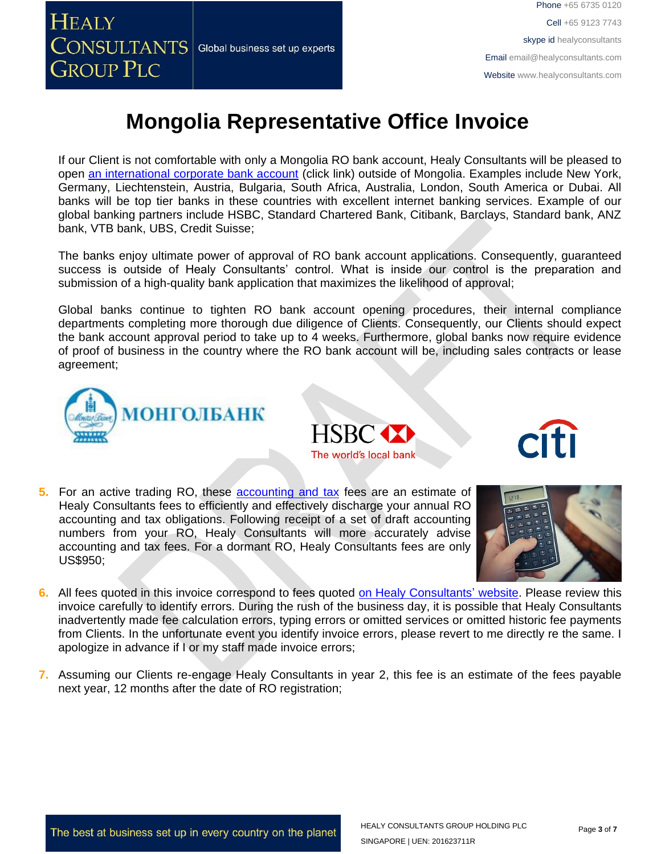

# **Mongolia Representative Office Invoice**

If our Client is not comfortable with only a Mongolia RO bank account, Healy Consultants will be pleased to open [an international corporate bank account](http://www.healyconsultants.com/international-banking/) (click link) outside of Mongolia. Examples include New York, Germany, Liechtenstein, Austria, Bulgaria, South Africa, Australia, London, South America or Dubai. All banks will be top tier banks in these countries with excellent internet banking services. Example of our global banking partners include HSBC, Standard Chartered Bank, Citibank, Barclays, Standard bank, ANZ bank, VTB bank, UBS, Credit Suisse;

The banks enjoy ultimate power of approval of RO bank account applications. Consequently, guaranteed success is outside of Healy Consultants' control. What is inside our control is the preparation and submission of a high-quality bank application that maximizes the likelihood of approval;

Global banks continue to tighten RO bank account opening procedures, their internal compliance departments completing more thorough due diligence of Clients. Consequently, our Clients should expect the bank account approval period to take up to 4 weeks. Furthermore, global banks now require evidence of proof of business in the country where the RO bank account will be, including sales contracts or lease agreement;







**5.** For an active trading RO, these [accounting and tax](http://www.healyconsultants.com/mongolia-company-registration/accounting-legal/) fees are an estimate of Healy Consultants fees to efficiently and effectively discharge your annual RO accounting and tax obligations. Following receipt of a set of draft accounting numbers from your RO, Healy Consultants will more accurately advise accounting and tax fees. For a dormant RO, Healy Consultants fees are only US\$950;



- **6.** All fees quoted in this invoice correspond to fees quoted [on Healy Consultants' website.](http://www.healyconsultants.com/company-registration-fees/) Please review this invoice carefully to identify errors. During the rush of the business day, it is possible that Healy Consultants inadvertently made fee calculation errors, typing errors or omitted services or omitted historic fee payments from Clients. In the unfortunate event you identify invoice errors, please revert to me directly re the same. I apologize in advance if I or my staff made invoice errors;
- **7.** Assuming our Clients re-engage Healy Consultants in year 2, this fee is an estimate of the fees payable next year, 12 months after the date of RO registration;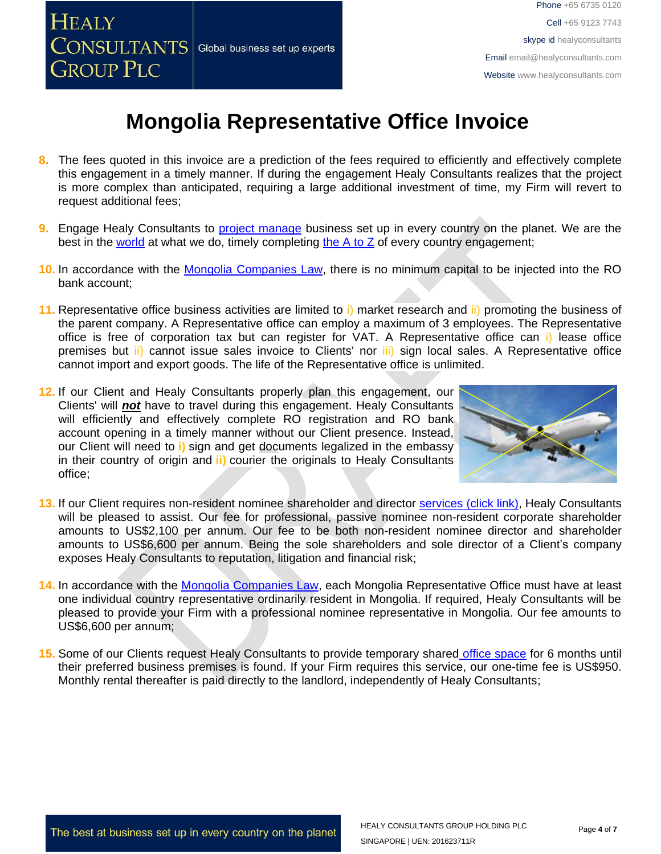

# **Mongolia Representative Office Invoice**

- **8.** The fees quoted in this invoice are a prediction of the fees required to efficiently and effectively complete this engagement in a timely manner. If during the engagement Healy Consultants realizes that the project is more complex than anticipated, requiring a large additional investment of time, my Firm will revert to request additional fees;
- **9.** Engage Healy Consultants to [project manage](http://www.healyconsultants.com/project-manage-engagements/) business set up in every country on the planet. We are the best in the [world](http://www.healyconsultants.com/best-in-the-world/) at what we do, timely completing [the A to Z](http://www.healyconsultants.com/a-to-z-of-business-set-up/) of every country engagement;
- **10.** In accordance with the [Mongolia Companies Law,](../../../../../../../../Downloads/MNG57599.pdf) there is no minimum capital to be injected into the RO bank account;
- **11.** Representative office business activities are limited to i) market research and ii) promoting the business of the parent company. A Representative office can employ a maximum of 3 employees. The Representative office is free of corporation tax but can register for VAT. A Representative office can i) lease office premises but ii) cannot issue sales invoice to Clients' nor iii) sign local sales. A Representative office cannot import and export goods. The life of the Representative office is unlimited.
- 12. If our Client and Healy Consultants properly plan this engagement, our Clients' will *not* have to travel during this engagement. Healy Consultants will efficiently and effectively complete RO registration and RO bank account opening in a timely manner without our Client presence. Instead, our Client will need to **i)** sign and get documents legalized in the embassy in their country of origin and **ii)** courier the originals to Healy Consultants office;



- **13.** If our Client requires non-resident nominee shareholder and director services [\(click link\),](http://www.healyconsultants.com/corporate-outsourcing-services/nominee-shareholders-directors/) Healy Consultants will be pleased to assist. Our fee for professional, passive nominee non-resident corporate shareholder amounts to US\$2,100 per annum. Our fee to be both non-resident nominee director and shareholder amounts to US\$6,600 per annum. Being the sole shareholders and sole director of a Client's company exposes Healy Consultants to reputation, litigation and financial risk;
- 14. In accordance with the [Mongolia Companies Law,](../../../../Aidan%20Healy/Downloads/MNG57599.pdf) each Mongolia Representative Office must have at least one individual country representative ordinarily resident in Mongolia. If required, Healy Consultants will be pleased to provide your Firm with a professional nominee representative in Mongolia. Our fee amounts to US\$6,600 per annum;
- **15.** Some of our Clients request Healy Consultants to provide temporary shared [office space](http://www.healyconsultants.com/virtual-office/) for 6 months until their preferred business premises is found. If your Firm requires this service, our one-time fee is US\$950. Monthly rental thereafter is paid directly to the landlord, independently of Healy Consultants;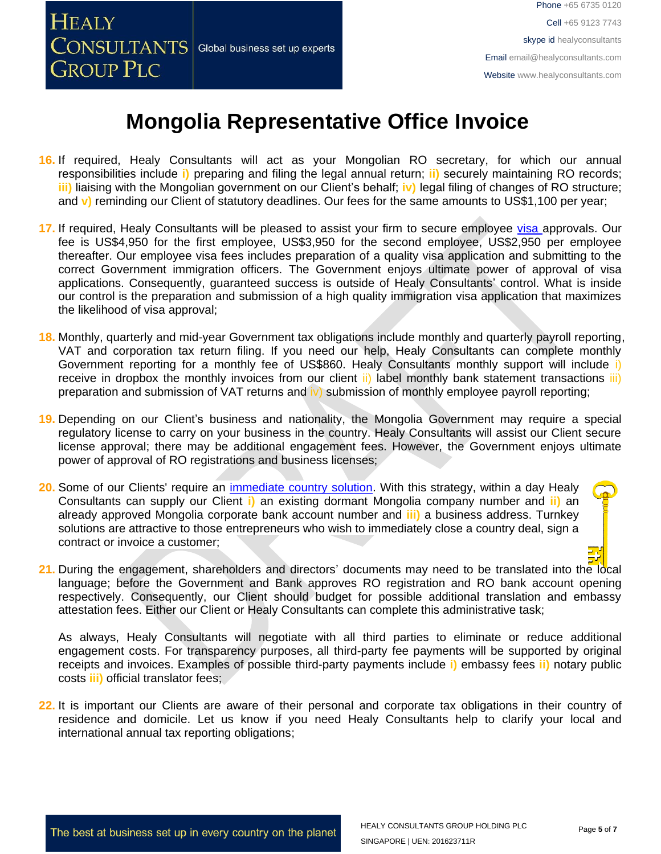

#### **Mongolia Representative Office Invoice**

- **16.** If required, Healy Consultants will act as your Mongolian RO secretary, for which our annual responsibilities include **i)** preparing and filing the legal annual return; **ii)** securely maintaining RO records; **iii)** liaising with the Mongolian government on our Client's behalf; **iv)** legal filing of changes of RO structure; and **v)** reminding our Client of statutory deadlines. Our fees for the same amounts to US\$1,100 per year;
- **17.** If required, Healy Consultants will be pleased to assist your firm to secure employee [visa a](http://www.healyconsultants.com/mongolia-company-registration/formation-support-services/)pprovals. Our fee is US\$4,950 for the first employee, US\$3,950 for the second employee, US\$2,950 per employee thereafter. Our employee visa fees includes preparation of a quality visa application and submitting to the correct Government immigration officers. The Government enjoys ultimate power of approval of visa applications. Consequently, guaranteed success is outside of Healy Consultants' control. What is inside our control is the preparation and submission of a high quality immigration visa application that maximizes the likelihood of visa approval;
- **18.** Monthly, quarterly and mid-year Government tax obligations include monthly and quarterly payroll reporting, VAT and corporation tax return filing. If you need our help, Healy Consultants can complete monthly Government reporting for a monthly fee of US\$860. Healy Consultants monthly support will include i) receive in dropbox the monthly invoices from our client ii) label monthly bank statement transactions iii) preparation and submission of VAT returns and iv) submission of monthly employee payroll reporting;
- **19.** Depending on our Client's business and nationality, the Mongolia Government may require a special regulatory license to carry on your business in the country. Healy Consultants will assist our Client secure license approval; there may be additional engagement fees. However, the Government enjoys ultimate power of approval of RO registrations and business licenses;
- **20.** Some of our Clients' require an [immediate country solution.](http://www.healyconsultants.com/turnkey-solutions/) With this strategy, within a day Healy Consultants can supply our Client **i)** an existing dormant Mongolia company number and **ii)** an already approved Mongolia corporate bank account number and **iii)** a business address. Turnkey solutions are attractive to those entrepreneurs who wish to immediately close a country deal, sign a contract or invoice a customer;
- 21. During the engagement, shareholders and directors' documents may need to be translated into the local language; before the Government and Bank approves RO registration and RO bank account opening respectively. Consequently, our Client should budget for possible additional translation and embassy attestation fees. Either our Client or Healy Consultants can complete this administrative task;

As always, Healy Consultants will negotiate with all third parties to eliminate or reduce additional engagement costs. For transparency purposes, all third-party fee payments will be supported by original receipts and invoices. Examples of possible third-party payments include **i)** embassy fees **ii)** notary public costs **iii)** official translator fees;

**22.** It is important our Clients are aware of their personal and corporate tax obligations in their country of residence and domicile. Let us know if you need Healy Consultants help to clarify your local and international annual tax reporting obligations;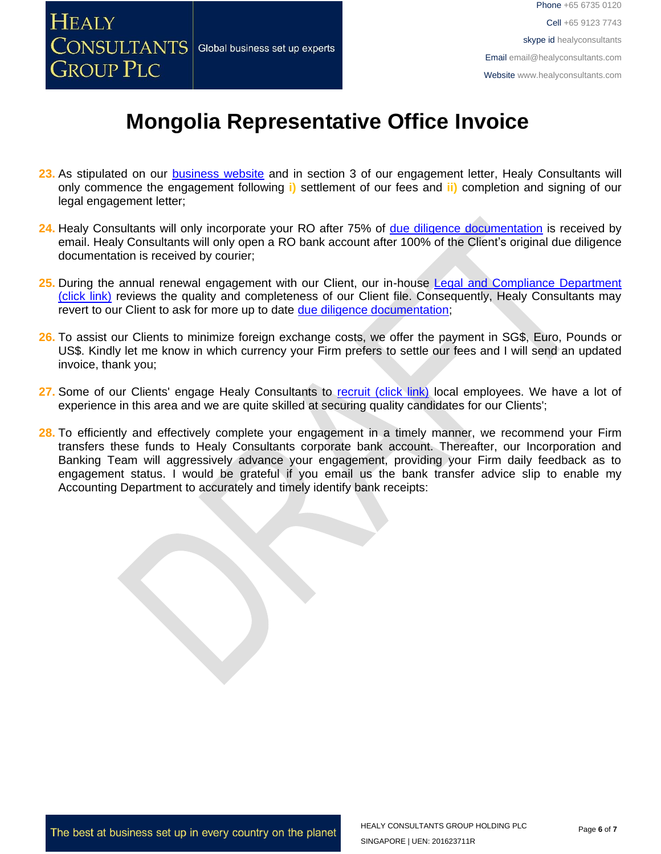

# **Mongolia Representative Office Invoice**

- **23.** As stipulated on our [business website](http://www.healyconsultants.com/) and in section 3 of our engagement letter, Healy Consultants will only commence the engagement following **i)** settlement of our fees and **ii)** completion and signing of our legal engagement letter;
- **24.** Healy Consultants will only incorporate your RO after 75% of [due diligence documentation](http://www.healyconsultants.com/due-diligence/) is received by email. Healy Consultants will only open a RO bank account after 100% of the Client's original due diligence documentation is received by courier;
- 25. During the annual renewal engagement with our Client, our in-house Legal and Compliance Department [\(click link\)](http://www.healyconsultants.com/about-us/key-personnel/cai-xin-profile/) reviews the quality and completeness of our Client file. Consequently, Healy Consultants may revert to our Client to ask for more up to date [due diligence documentation;](http://www.healyconsultants.com/due-diligence/)
- **26.** To assist our Clients to minimize foreign exchange costs, we offer the payment in SG\$, Euro, Pounds or US\$. Kindly let me know in which currency your Firm prefers to settle our fees and I will send an updated invoice, thank you;
- **27.** Some of our Clients' engage Healy Consultants to [recruit \(click link\)](http://www.healyconsultants.com/corporate-outsourcing-services/how-we-help-our-clients-recruit-quality-employees/) local employees. We have a lot of experience in this area and we are quite skilled at securing quality candidates for our Clients';
- 28. To efficiently and effectively complete your engagement in a timely manner, we recommend your Firm transfers these funds to Healy Consultants corporate bank account. Thereafter, our Incorporation and Banking Team will aggressively advance your engagement, providing your Firm daily feedback as to engagement status. I would be grateful if you email us the bank transfer advice slip to enable my Accounting Department to accurately and timely identify bank receipts: